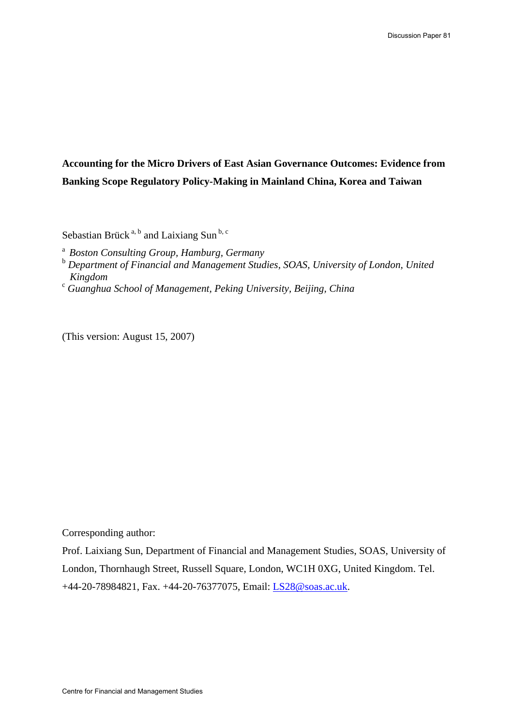## **Accounting for the Micro Drivers of East Asian Governance Outcomes: Evidence from Banking Scope Regulatory Policy-Making in Mainland China, Korea and Taiwan**

Sebastian Brück<sup>a, b</sup> and Laixiang Sun<sup>b, c</sup>

<sup>a</sup>*Boston Consulting Group, Hamburg, Germany* 

- <sup>b</sup> Department of Financial and Management Studies, SOAS, University of London, United  $Kingdom$
- *Guanghua School of Management, Peking University, Beijing, China*

(This version: August 15, 2007)

Corresponding author:

Prof. Laixiang Sun, Department of Financial and Management Studies, SOAS, University of London, Thornhaugh Street, Russell Square, London, WC1H 0XG, United Kingdom. Tel. +44-20-78984821, Fax. +44-20-76377075, Email: [LS28@soas.ac.uk.](mailto:LS28@soas.ac.uk)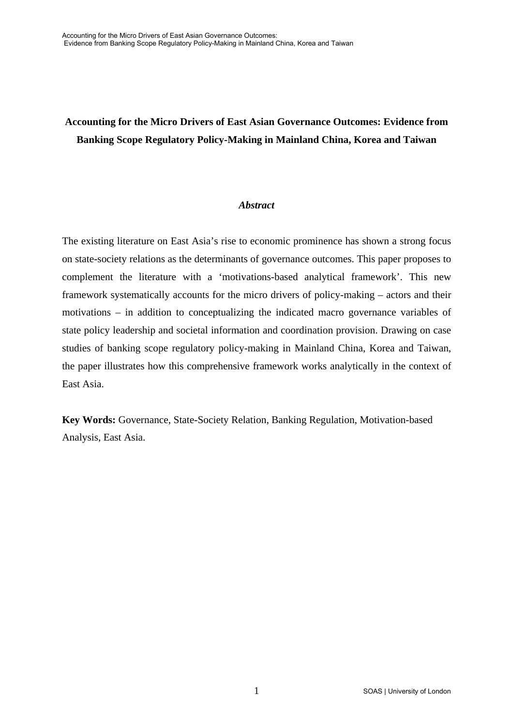# **Accounting for the Micro Drivers of East Asian Governance Outcomes: Evidence from Banking Scope Regulatory Policy-Making in Mainland China, Korea and Taiwan**

## *Abstract*

The existing literature on East Asia's rise to economic prominence has shown a strong focus on state-society relations as the determinants of governance outcomes. This paper proposes to complement the literature with a 'motivations-based analytical framework'. This new framework systematically accounts for the micro drivers of policy-making – actors and their motivations – in addition to conceptualizing the indicated macro governance variables of state policy leadership and societal information and coordination provision. Drawing on case studies of banking scope regulatory policy-making in Mainland China, Korea and Taiwan, the paper illustrates how this comprehensive framework works analytically in the context of East Asia.

**Key Words:** Governance, State-Society Relation, Banking Regulation, Motivation-based Analysis, East Asia.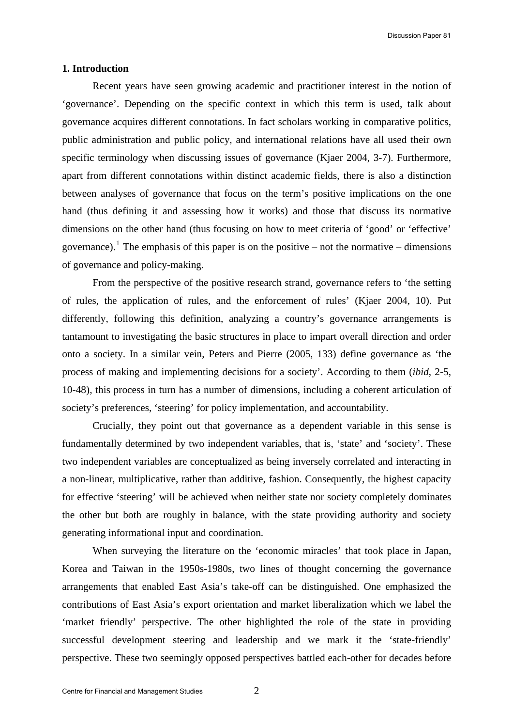#### **1. Introduction**

Recent years have seen growing academic and practitioner interest in the notion of 'governance'. Depending on the specific context in which this term is used, talk about governance acquires different connotations. In fact scholars working in comparative politics, public administration and public policy, and international relations have all used their own specific terminology when discussing issues of governance (Kjaer 2004, 3-7). Furthermore, apart from different connotations within distinct academic fields, there is also a distinction between analyses of governance that focus on the term's positive implications on the one hand (thus defining it and assessing how it works) and those that discuss its normative dimensions on the other hand (thus focusing on how to meet criteria of 'good' or 'effective' governance).<sup>[1](#page-25-0)</sup> The emphasis of this paper is on the positive – not the normative – dimensions of governance and policy-making.

From the perspective of the positive research strand, governance refers to 'the setting of rules, the application of rules, and the enforcement of rules' (Kjaer 2004, 10). Put differently, following this definition, analyzing a country's governance arrangements is tantamount to investigating the basic structures in place to impart overall direction and order onto a society. In a similar vein, Peters and Pierre (2005, 133) define governance as 'the process of making and implementing decisions for a society'. According to them (*ibid*, 2-5, 10-48), this process in turn has a number of dimensions, including a coherent articulation of society's preferences, 'steering' for policy implementation, and accountability.

Crucially, they point out that governance as a dependent variable in this sense is fundamentally determined by two independent variables, that is, 'state' and 'society'. These two independent variables are conceptualized as being inversely correlated and interacting in a non-linear, multiplicative, rather than additive, fashion. Consequently, the highest capacity for effective 'steering' will be achieved when neither state nor society completely dominates the other but both are roughly in balance, with the state providing authority and society generating informational input and coordination.

When surveying the literature on the 'economic miracles' that took place in Japan, Korea and Taiwan in the 1950s-1980s, two lines of thought concerning the governance arrangements that enabled East Asia's take-off can be distinguished. One emphasized the contributions of East Asia's export orientation and market liberalization which we label the 'market friendly' perspective. The other highlighted the role of the state in providing successful development steering and leadership and we mark it the 'state-friendly' perspective. These two seemingly opposed perspectives battled each-other for decades before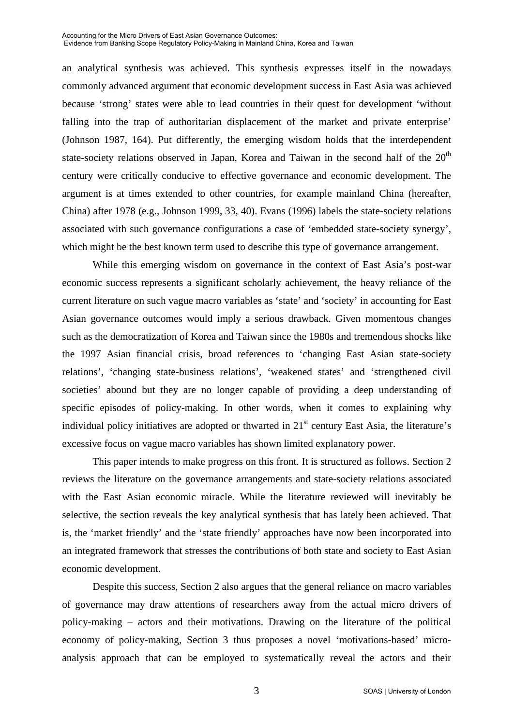#### Accounting for the Micro Drivers of East Asian Governance Outcomes: Evidence from Banking Scope Regulatory Policy-Making in Mainland China, Korea and Taiwan

an analytical synthesis was achieved. This synthesis expresses itself in the nowadays commonly advanced argument that economic development success in East Asia was achieved because 'strong' states were able to lead countries in their quest for development 'without falling into the trap of authoritarian displacement of the market and private enterprise' (Johnson 1987, 164). Put differently, the emerging wisdom holds that the interdependent state-society relations observed in Japan, Korea and Taiwan in the second half of the  $20<sup>th</sup>$ century were critically conducive to effective governance and economic development. The argument is at times extended to other countries, for example mainland China (hereafter, China) after 1978 (e.g., Johnson 1999, 33, 40). Evans (1996) labels the state-society relations associated with such governance configurations a case of 'embedded state-society synergy', which might be the best known term used to describe this type of governance arrangement.

While this emerging wisdom on governance in the context of East Asia's post-war economic success represents a significant scholarly achievement, the heavy reliance of the current literature on such vague macro variables as 'state' and 'society' in accounting for East Asian governance outcomes would imply a serious drawback. Given momentous changes such as the democratization of Korea and Taiwan since the 1980s and tremendous shocks like the 1997 Asian financial crisis, broad references to 'changing East Asian state-society relations', 'changing state-business relations', 'weakened states' and 'strengthened civil societies' abound but they are no longer capable of providing a deep understanding of specific episodes of policy-making. In other words, when it comes to explaining why individual policy initiatives are adopted or thwarted in  $21<sup>st</sup>$  century East Asia, the literature's excessive focus on vague macro variables has shown limited explanatory power.

This paper intends to make progress on this front. It is structured as follows. Section 2 reviews the literature on the governance arrangements and state-society relations associated with the East Asian economic miracle. While the literature reviewed will inevitably be selective, the section reveals the key analytical synthesis that has lately been achieved. That is, the 'market friendly' and the 'state friendly' approaches have now been incorporated into an integrated framework that stresses the contributions of both state and society to East Asian economic development.

Despite this success, Section 2 also argues that the general reliance on macro variables of governance may draw attentions of researchers away from the actual micro drivers of policy-making – actors and their motivations. Drawing on the literature of the political economy of policy-making, Section 3 thus proposes a novel 'motivations-based' microanalysis approach that can be employed to systematically reveal the actors and their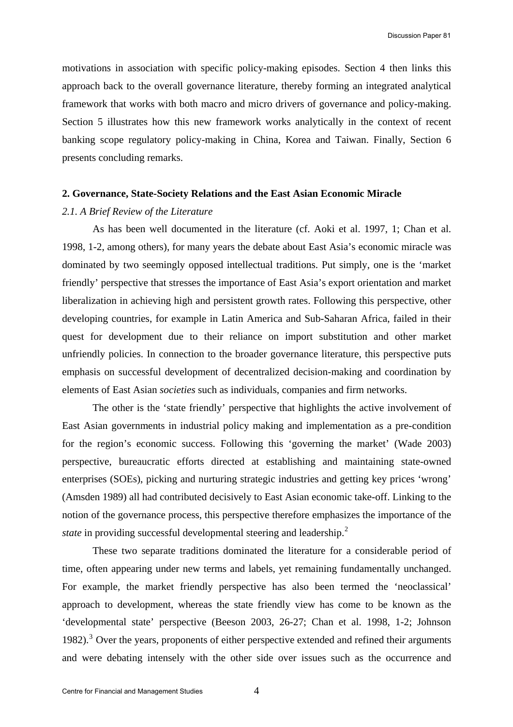motivations in association with specific policy-making episodes. Section 4 then links this approach back to the overall governance literature, thereby forming an integrated analytical framework that works with both macro and micro drivers of governance and policy-making. Section 5 illustrates how this new framework works analytically in the context of recent banking scope regulatory policy-making in China, Korea and Taiwan. Finally, Section 6 presents concluding remarks.

#### **2. Governance, State-Society Relations and the East Asian Economic Miracle**

#### *2.1. A Brief Review of the Literature*

As has been well documented in the literature (cf. Aoki et al. 1997, 1; Chan et al. 1998, 1-2, among others), for many years the debate about East Asia's economic miracle was dominated by two seemingly opposed intellectual traditions. Put simply, one is the 'market friendly' perspective that stresses the importance of East Asia's export orientation and market liberalization in achieving high and persistent growth rates. Following this perspective, other developing countries, for example in Latin America and Sub-Saharan Africa, failed in their quest for development due to their reliance on import substitution and other market unfriendly policies. In connection to the broader governance literature, this perspective puts emphasis on successful development of decentralized decision-making and coordination by elements of East Asian *societies* such as individuals, companies and firm networks.

The other is the 'state friendly' perspective that highlights the active involvement of East Asian governments in industrial policy making and implementation as a pre-condition for the region's economic success. Following this 'governing the market' (Wade 2003) perspective, bureaucratic efforts directed at establishing and maintaining state-owned enterprises (SOEs), picking and nurturing strategic industries and getting key prices 'wrong' (Amsden 1989) all had contributed decisively to East Asian economic take-off. Linking to the notion of the governance process, this perspective therefore emphasizes the importance of the *state* in providing successful developmental steering and leadership.<sup>[2](#page-25-1)</sup>

These two separate traditions dominated the literature for a considerable period of time, often appearing under new terms and labels, yet remaining fundamentally unchanged. For example, the market friendly perspective has also been termed the 'neoclassical' approach to development, whereas the state friendly view has come to be known as the 'developmental state' perspective (Beeson 2003, 26-27; Chan et al. 1998, 1-2; Johnson 1982).<sup>[3](#page-25-1)</sup> Over the years, proponents of either perspective extended and refined their arguments and were debating intensely with the other side over issues such as the occurrence and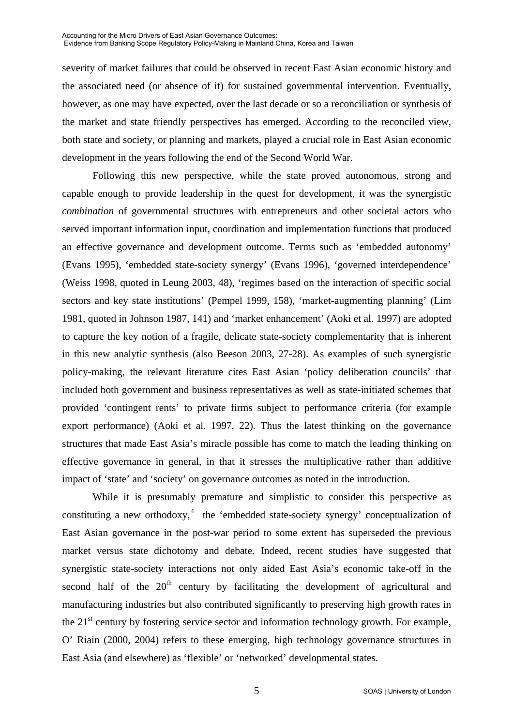severity of market failures that could be observed in recent East Asian economic history and the associated need (or absence of it) for sustained governmental intervention. Eventually, however, as one may have expected, over the last decade or so a reconciliation or synthesis of the market and state friendly perspectives has emerged. According to the reconciled view, both state and society, or planning and markets, played a crucial role in East Asian economic development in the years following the end of the Second World War.

Following this new perspective, while the state proved autonomous, strong and capable enough to provide leadership in the quest for development, it was the synergistic *combination* of governmental structures with entrepreneurs and other societal actors who served important information input, coordination and implementation functions that produced an effective governance and development outcome. Terms such as 'embedded autonomy' (Evans 1995), 'embedded state-society synergy' (Evans 1996), 'governed interdependence' (Weiss 1998, quoted in Leung 2003, 48), 'regimes based on the interaction of specific social sectors and key state institutions' (Pempel 1999, 158), 'market-augmenting planning' (Lim 1981, quoted in Johnson 1987, 141) and 'market enhancement' (Aoki et al. 1997) are adopted to capture the key notion of a fragile, delicate state-society complementarity that is inherent in this new analytic synthesis (also Beeson 2003, 27-28). As examples of such synergistic policy-making, the relevant literature cites East Asian 'policy deliberation councils' that included both government and business representatives as well as state-initiated schemes that provided 'contingent rents' to private firms subject to performance criteria (for example export performance) (Aoki et al. 1997, 22). Thus the latest thinking on the governance structures that made East Asia's miracle possible has come to match the leading thinking on effective governance in general, in that it stresses the multiplicative rather than additive impact of 'state' and 'society' on governance outcomes as noted in the introduction.

While it is presumably premature and simplistic to consider this perspective as constituting a new orthodoxy, $4$  the 'embedded state-society synergy' conceptualization of East Asian governance in the post-war period to some extent has superseded the previous market versus state dichotomy and debate. Indeed, recent studies have suggested that synergistic state-society interactions not only aided East Asia's economic take-off in the second half of the  $20<sup>th</sup>$  century by facilitating the development of agricultural and manufacturing industries but also contributed significantly to preserving high growth rates in the  $21<sup>st</sup>$  century by fostering service sector and information technology growth. For example, O' Riain (2000, 2004) refers to these emerging, high technology governance structures in East Asia (and elsewhere) as 'flexible' or 'networked' developmental states.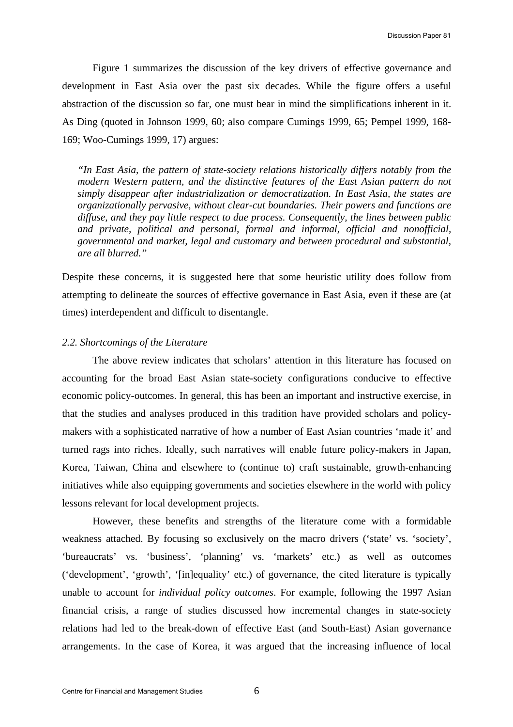Figure 1 summarizes the discussion of the key drivers of effective governance and development in East Asia over the past six decades. While the figure offers a useful abstraction of the discussion so far, one must bear in mind the simplifications inherent in it. As Ding (quoted in Johnson 1999, 60; also compare Cumings 1999, 65; Pempel 1999, 168- 169; Woo-Cumings 1999, 17) argues:

*"In East Asia, the pattern of state-society relations historically differs notably from the modern Western pattern, and the distinctive features of the East Asian pattern do not simply disappear after industrialization or democratization. In East Asia, the states are organizationally pervasive, without clear-cut boundaries. Their powers and functions are diffuse, and they pay little respect to due process. Consequently, the lines between public and private, political and personal, formal and informal, official and nonofficial, governmental and market, legal and customary and between procedural and substantial, are all blurred."* 

Despite these concerns, it is suggested here that some heuristic utility does follow from attempting to delineate the sources of effective governance in East Asia, even if these are (at times) interdependent and difficult to disentangle.

#### *2.2. Shortcomings of the Literature*

The above review indicates that scholars' attention in this literature has focused on accounting for the broad East Asian state-society configurations conducive to effective economic policy-outcomes. In general, this has been an important and instructive exercise, in that the studies and analyses produced in this tradition have provided scholars and policymakers with a sophisticated narrative of how a number of East Asian countries 'made it' and turned rags into riches. Ideally, such narratives will enable future policy-makers in Japan, Korea, Taiwan, China and elsewhere to (continue to) craft sustainable, growth-enhancing initiatives while also equipping governments and societies elsewhere in the world with policy lessons relevant for local development projects.

However, these benefits and strengths of the literature come with a formidable weakness attached. By focusing so exclusively on the macro drivers ('state' vs. 'society', 'bureaucrats' vs. 'business', 'planning' vs. 'markets' etc.) as well as outcomes ('development', 'growth', '[in]equality' etc.) of governance, the cited literature is typically unable to account for *individual policy outcomes*. For example, following the 1997 Asian financial crisis, a range of studies discussed how incremental changes in state-society relations had led to the break-down of effective East (and South-East) Asian governance arrangements. In the case of Korea, it was argued that the increasing influence of local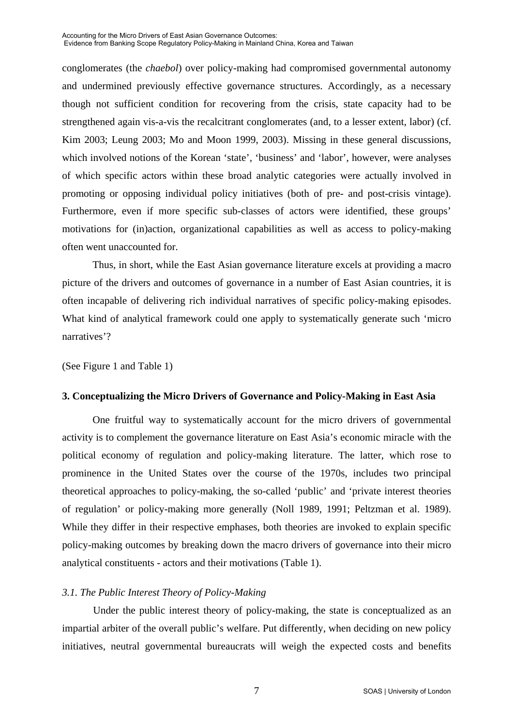conglomerates (the *chaebol*) over policy-making had compromised governmental autonomy and undermined previously effective governance structures. Accordingly, as a necessary though not sufficient condition for recovering from the crisis, state capacity had to be strengthened again vis-a-vis the recalcitrant conglomerates (and, to a lesser extent, labor) (cf. Kim 2003; Leung 2003; Mo and Moon 1999, 2003). Missing in these general discussions, which involved notions of the Korean 'state', 'business' and 'labor', however, were analyses of which specific actors within these broad analytic categories were actually involved in promoting or opposing individual policy initiatives (both of pre- and post-crisis vintage). Furthermore, even if more specific sub-classes of actors were identified, these groups' motivations for (in)action, organizational capabilities as well as access to policy-making often went unaccounted for.

Thus, in short, while the East Asian governance literature excels at providing a macro picture of the drivers and outcomes of governance in a number of East Asian countries, it is often incapable of delivering rich individual narratives of specific policy-making episodes. What kind of analytical framework could one apply to systematically generate such 'micro narratives'?

(See Figure 1 and Table 1)

## **3. Conceptualizing the Micro Drivers of Governance and Policy-Making in East Asia**

One fruitful way to systematically account for the micro drivers of governmental activity is to complement the governance literature on East Asia's economic miracle with the political economy of regulation and policy-making literature. The latter, which rose to prominence in the United States over the course of the 1970s, includes two principal theoretical approaches to policy-making, the so-called 'public' and 'private interest theories of regulation' or policy-making more generally (Noll 1989, 1991; Peltzman et al. 1989). While they differ in their respective emphases, both theories are invoked to explain specific policy-making outcomes by breaking down the macro drivers of governance into their micro analytical constituents - actors and their motivations (Table 1).

## *3.1. The Public Interest Theory of Policy-Making*

Under the public interest theory of policy-making, the state is conceptualized as an impartial arbiter of the overall public's welfare. Put differently, when deciding on new policy initiatives, neutral governmental bureaucrats will weigh the expected costs and benefits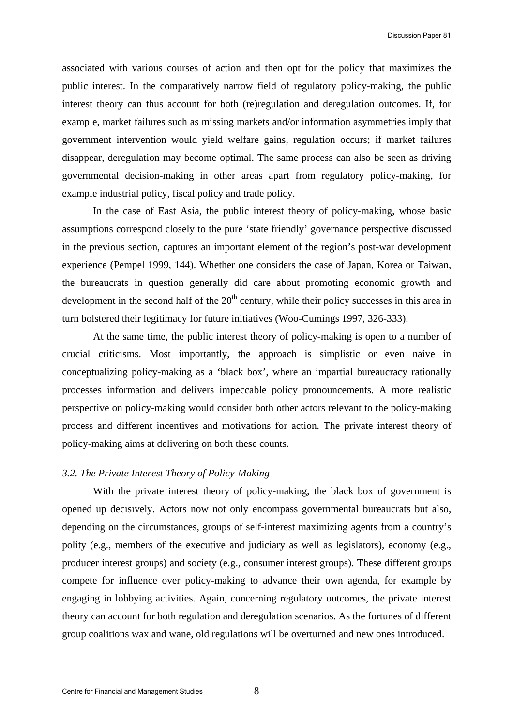associated with various courses of action and then opt for the policy that maximizes the public interest. In the comparatively narrow field of regulatory policy-making, the public interest theory can thus account for both (re)regulation and deregulation outcomes. If, for example, market failures such as missing markets and/or information asymmetries imply that government intervention would yield welfare gains, regulation occurs; if market failures disappear, deregulation may become optimal. The same process can also be seen as driving governmental decision-making in other areas apart from regulatory policy-making, for example industrial policy, fiscal policy and trade policy.

In the case of East Asia, the public interest theory of policy-making, whose basic assumptions correspond closely to the pure 'state friendly' governance perspective discussed in the previous section, captures an important element of the region's post-war development experience (Pempel 1999, 144). Whether one considers the case of Japan, Korea or Taiwan, the bureaucrats in question generally did care about promoting economic growth and development in the second half of the  $20<sup>th</sup>$  century, while their policy successes in this area in turn bolstered their legitimacy for future initiatives (Woo-Cumings 1997, 326-333).

At the same time, the public interest theory of policy-making is open to a number of crucial criticisms. Most importantly, the approach is simplistic or even naive in conceptualizing policy-making as a 'black box', where an impartial bureaucracy rationally processes information and delivers impeccable policy pronouncements. A more realistic perspective on policy-making would consider both other actors relevant to the policy-making process and different incentives and motivations for action. The private interest theory of policy-making aims at delivering on both these counts.

### *3.2. The Private Interest Theory of Policy-Making*

With the private interest theory of policy-making, the black box of government is opened up decisively. Actors now not only encompass governmental bureaucrats but also, depending on the circumstances, groups of self-interest maximizing agents from a country's polity (e.g., members of the executive and judiciary as well as legislators), economy (e.g., producer interest groups) and society (e.g., consumer interest groups). These different groups compete for influence over policy-making to advance their own agenda, for example by engaging in lobbying activities. Again, concerning regulatory outcomes, the private interest theory can account for both regulation and deregulation scenarios. As the fortunes of different group coalitions wax and wane, old regulations will be overturned and new ones introduced.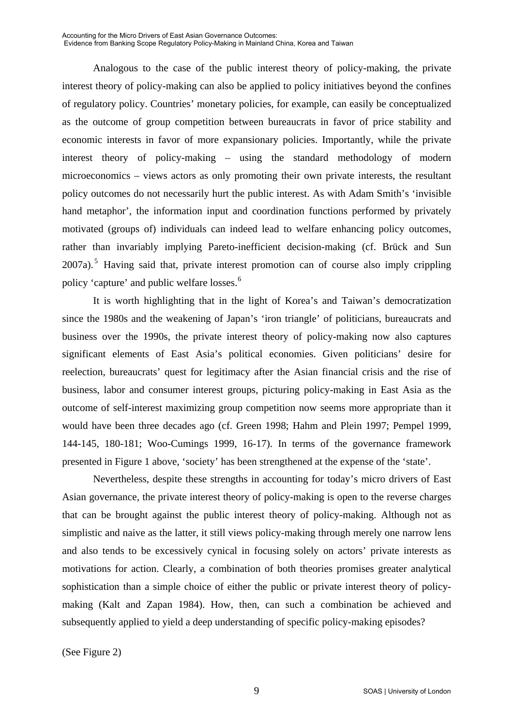Accounting for the Micro Drivers of East Asian Governance Outcomes: Evidence from Banking Scope Regulatory Policy-Making in Mainland China, Korea and Taiwan

Analogous to the case of the public interest theory of policy-making, the private interest theory of policy-making can also be applied to policy initiatives beyond the confines of regulatory policy. Countries' monetary policies, for example, can easily be conceptualized as the outcome of group competition between bureaucrats in favor of price stability and economic interests in favor of more expansionary policies. Importantly, while the private interest theory of policy-making – using the standard methodology of modern microeconomics – views actors as only promoting their own private interests, the resultant policy outcomes do not necessarily hurt the public interest. As with Adam Smith's 'invisible hand metaphor', the information input and coordination functions performed by privately motivated (groups of) individuals can indeed lead to welfare enhancing policy outcomes, rather than invariably implying Pareto-inefficient decision-making (cf. Brück and Sun  $2007a$ ).<sup>[5](#page-25-1)</sup> Having said that, private interest promotion can of course also imply crippling policy 'capture' and public welfare losses.[6](#page-25-1)

It is worth highlighting that in the light of Korea's and Taiwan's democratization since the 1980s and the weakening of Japan's 'iron triangle' of politicians, bureaucrats and business over the 1990s, the private interest theory of policy-making now also captures significant elements of East Asia's political economies. Given politicians' desire for reelection, bureaucrats' quest for legitimacy after the Asian financial crisis and the rise of business, labor and consumer interest groups, picturing policy-making in East Asia as the outcome of self-interest maximizing group competition now seems more appropriate than it would have been three decades ago (cf. Green 1998; Hahm and Plein 1997; Pempel 1999, 144-145, 180-181; Woo-Cumings 1999, 16-17). In terms of the governance framework presented in Figure 1 above, 'society' has been strengthened at the expense of the 'state'.

Nevertheless, despite these strengths in accounting for today's micro drivers of East Asian governance, the private interest theory of policy-making is open to the reverse charges that can be brought against the public interest theory of policy-making. Although not as simplistic and naive as the latter, it still views policy-making through merely one narrow lens and also tends to be excessively cynical in focusing solely on actors' private interests as motivations for action. Clearly, a combination of both theories promises greater analytical sophistication than a simple choice of either the public or private interest theory of policymaking (Kalt and Zapan 1984). How, then, can such a combination be achieved and subsequently applied to yield a deep understanding of specific policy-making episodes?

(See Figure 2)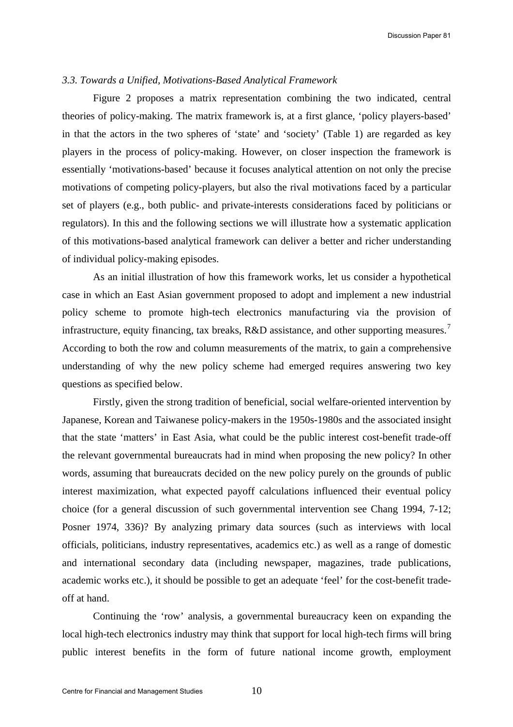#### *3.3. Towards a Unified, Motivations-Based Analytical Framework*

Figure 2 proposes a matrix representation combining the two indicated, central theories of policy-making. The matrix framework is, at a first glance, 'policy players-based' in that the actors in the two spheres of 'state' and 'society' (Table 1) are regarded as key players in the process of policy-making. However, on closer inspection the framework is essentially 'motivations-based' because it focuses analytical attention on not only the precise motivations of competing policy-players, but also the rival motivations faced by a particular set of players (e.g., both public- and private-interests considerations faced by politicians or regulators). In this and the following sections we will illustrate how a systematic application of this motivations-based analytical framework can deliver a better and richer understanding of individual policy-making episodes.

As an initial illustration of how this framework works, let us consider a hypothetical case in which an East Asian government proposed to adopt and implement a new industrial policy scheme to promote high-tech electronics manufacturing via the provision of infrastructure, equity financing, tax breaks, R&D assistance, and other supporting measures.<sup>[7](#page-25-1)</sup> According to both the row and column measurements of the matrix, to gain a comprehensive understanding of why the new policy scheme had emerged requires answering two key questions as specified below.

Firstly, given the strong tradition of beneficial, social welfare-oriented intervention by Japanese, Korean and Taiwanese policy-makers in the 1950s-1980s and the associated insight that the state 'matters' in East Asia, what could be the public interest cost-benefit trade-off the relevant governmental bureaucrats had in mind when proposing the new policy? In other words, assuming that bureaucrats decided on the new policy purely on the grounds of public interest maximization, what expected payoff calculations influenced their eventual policy choice (for a general discussion of such governmental intervention see Chang 1994, 7-12; Posner 1974, 336)? By analyzing primary data sources (such as interviews with local officials, politicians, industry representatives, academics etc.) as well as a range of domestic and international secondary data (including newspaper, magazines, trade publications, academic works etc.), it should be possible to get an adequate 'feel' for the cost-benefit tradeoff at hand.

Continuing the 'row' analysis, a governmental bureaucracy keen on expanding the local high-tech electronics industry may think that support for local high-tech firms will bring public interest benefits in the form of future national income growth, employment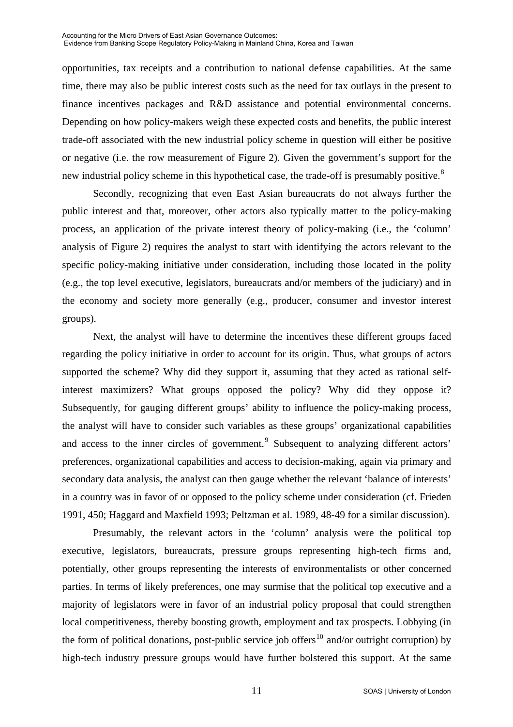Accounting for the Micro Drivers of East Asian Governance Outcomes: Evidence from Banking Scope Regulatory Policy-Making in Mainland China, Korea and Taiwan

opportunities, tax receipts and a contribution to national defense capabilities. At the same time, there may also be public interest costs such as the need for tax outlays in the present to finance incentives packages and R&D assistance and potential environmental concerns. Depending on how policy-makers weigh these expected costs and benefits, the public interest trade-off associated with the new industrial policy scheme in question will either be positive or negative (i.e. the row measurement of Figure 2). Given the government's support for the new industrial policy scheme in this hypothetical case, the trade-off is presumably positive.<sup>[8](#page-25-1)</sup>

Secondly, recognizing that even East Asian bureaucrats do not always further the public interest and that, moreover, other actors also typically matter to the policy-making process, an application of the private interest theory of policy-making (i.e., the 'column' analysis of Figure 2) requires the analyst to start with identifying the actors relevant to the specific policy-making initiative under consideration, including those located in the polity (e.g., the top level executive, legislators, bureaucrats and/or members of the judiciary) and in the economy and society more generally (e.g., producer, consumer and investor interest groups).

Next, the analyst will have to determine the incentives these different groups faced regarding the policy initiative in order to account for its origin. Thus, what groups of actors supported the scheme? Why did they support it, assuming that they acted as rational selfinterest maximizers? What groups opposed the policy? Why did they oppose it? Subsequently, for gauging different groups' ability to influence the policy-making process, the analyst will have to consider such variables as these groups' organizational capabilities and access to the inner circles of government.<sup>[9](#page-26-0)</sup> Subsequent to analyzing different actors' preferences, organizational capabilities and access to decision-making, again via primary and secondary data analysis, the analyst can then gauge whether the relevant 'balance of interests' in a country was in favor of or opposed to the policy scheme under consideration (cf. Frieden 1991, 450; Haggard and Maxfield 1993; Peltzman et al. 1989, 48-49 for a similar discussion).

Presumably, the relevant actors in the 'column' analysis were the political top executive, legislators, bureaucrats, pressure groups representing high-tech firms and, potentially, other groups representing the interests of environmentalists or other concerned parties. In terms of likely preferences, one may surmise that the political top executive and a majority of legislators were in favor of an industrial policy proposal that could strengthen local competitiveness, thereby boosting growth, employment and tax prospects. Lobbying (in the form of political donations, post-public service job offers<sup>[10](#page-26-0)</sup> and/or outright corruption) by high-tech industry pressure groups would have further bolstered this support. At the same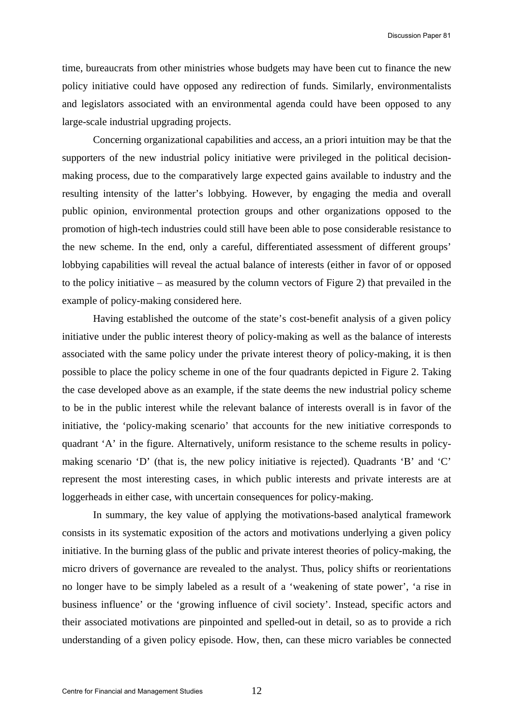time, bureaucrats from other ministries whose budgets may have been cut to finance the new policy initiative could have opposed any redirection of funds. Similarly, environmentalists and legislators associated with an environmental agenda could have been opposed to any large-scale industrial upgrading projects.

Concerning organizational capabilities and access, an a priori intuition may be that the supporters of the new industrial policy initiative were privileged in the political decisionmaking process, due to the comparatively large expected gains available to industry and the resulting intensity of the latter's lobbying. However, by engaging the media and overall public opinion, environmental protection groups and other organizations opposed to the promotion of high-tech industries could still have been able to pose considerable resistance to the new scheme. In the end, only a careful, differentiated assessment of different groups' lobbying capabilities will reveal the actual balance of interests (either in favor of or opposed to the policy initiative – as measured by the column vectors of Figure 2) that prevailed in the example of policy-making considered here.

Having established the outcome of the state's cost-benefit analysis of a given policy initiative under the public interest theory of policy-making as well as the balance of interests associated with the same policy under the private interest theory of policy-making, it is then possible to place the policy scheme in one of the four quadrants depicted in Figure 2. Taking the case developed above as an example, if the state deems the new industrial policy scheme to be in the public interest while the relevant balance of interests overall is in favor of the initiative, the 'policy-making scenario' that accounts for the new initiative corresponds to quadrant 'A' in the figure. Alternatively, uniform resistance to the scheme results in policymaking scenario 'D' (that is, the new policy initiative is rejected). Quadrants 'B' and 'C' represent the most interesting cases, in which public interests and private interests are at loggerheads in either case, with uncertain consequences for policy-making.

In summary, the key value of applying the motivations-based analytical framework consists in its systematic exposition of the actors and motivations underlying a given policy initiative. In the burning glass of the public and private interest theories of policy-making, the micro drivers of governance are revealed to the analyst. Thus, policy shifts or reorientations no longer have to be simply labeled as a result of a 'weakening of state power', 'a rise in business influence' or the 'growing influence of civil society'. Instead, specific actors and their associated motivations are pinpointed and spelled-out in detail, so as to provide a rich understanding of a given policy episode. How, then, can these micro variables be connected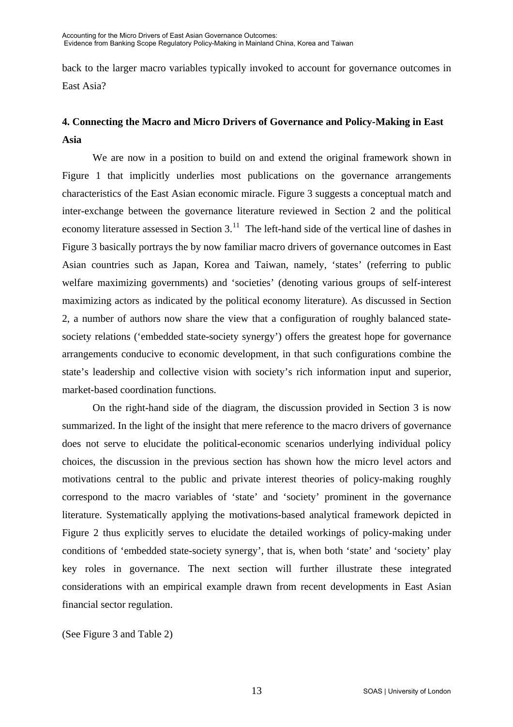back to the larger macro variables typically invoked to account for governance outcomes in East Asia?

## **4. Connecting the Macro and Micro Drivers of Governance and Policy-Making in East Asia**

We are now in a position to build on and extend the original framework shown in Figure 1 that implicitly underlies most publications on the governance arrangements characteristics of the East Asian economic miracle. Figure 3 suggests a conceptual match and inter-exchange between the governance literature reviewed in Section 2 and the political economy literature assessed in Section 3.<sup>[11](#page-26-0)</sup> The left-hand side of the vertical line of dashes in Figure 3 basically portrays the by now familiar macro drivers of governance outcomes in East Asian countries such as Japan, Korea and Taiwan, namely, 'states' (referring to public welfare maximizing governments) and 'societies' (denoting various groups of self-interest maximizing actors as indicated by the political economy literature). As discussed in Section 2, a number of authors now share the view that a configuration of roughly balanced statesociety relations ('embedded state-society synergy') offers the greatest hope for governance arrangements conducive to economic development, in that such configurations combine the state's leadership and collective vision with society's rich information input and superior, market-based coordination functions.

On the right-hand side of the diagram, the discussion provided in Section 3 is now summarized. In the light of the insight that mere reference to the macro drivers of governance does not serve to elucidate the political-economic scenarios underlying individual policy choices, the discussion in the previous section has shown how the micro level actors and motivations central to the public and private interest theories of policy-making roughly correspond to the macro variables of 'state' and 'society' prominent in the governance literature. Systematically applying the motivations-based analytical framework depicted in Figure 2 thus explicitly serves to elucidate the detailed workings of policy-making under conditions of 'embedded state-society synergy', that is, when both 'state' and 'society' play key roles in governance. The next section will further illustrate these integrated considerations with an empirical example drawn from recent developments in East Asian financial sector regulation.

(See Figure 3 and Table 2)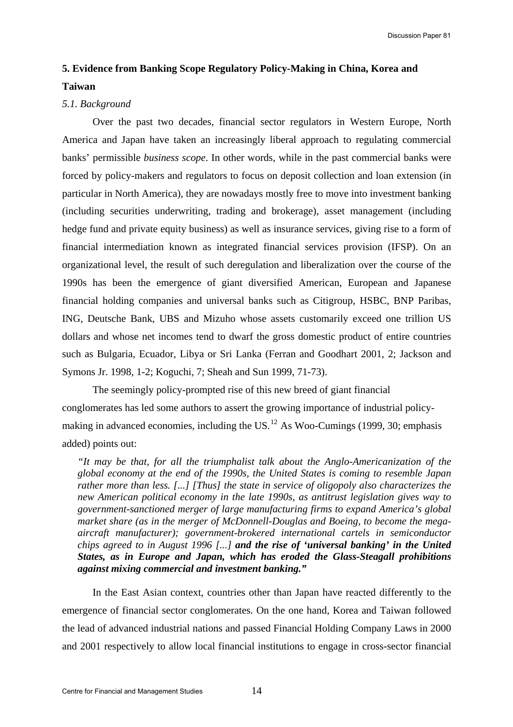Discussion Paper 81

## **5. Evidence from Banking Scope Regulatory Policy-Making in China, Korea and Taiwan**

### *5.1. Background*

Over the past two decades, financial sector regulators in Western Europe, North America and Japan have taken an increasingly liberal approach to regulating commercial banks' permissible *business scope*. In other words, while in the past commercial banks were forced by policy-makers and regulators to focus on deposit collection and loan extension (in particular in North America), they are nowadays mostly free to move into investment banking (including securities underwriting, trading and brokerage), asset management (including hedge fund and private equity business) as well as insurance services, giving rise to a form of financial intermediation known as integrated financial services provision (IFSP). On an organizational level, the result of such deregulation and liberalization over the course of the 1990s has been the emergence of giant diversified American, European and Japanese financial holding companies and universal banks such as Citigroup, HSBC, BNP Paribas, ING, Deutsche Bank, UBS and Mizuho whose assets customarily exceed one trillion US dollars and whose net incomes tend to dwarf the gross domestic product of entire countries such as Bulgaria, Ecuador, Libya or Sri Lanka (Ferran and Goodhart 2001, 2; Jackson and Symons Jr. 1998, 1-2; Koguchi, 7; Sheah and Sun 1999, 71-73).

The seemingly policy-prompted rise of this new breed of giant financial conglomerates has led some authors to assert the growing importance of industrial policy-making in advanced economies, including the US.<sup>[12](#page-26-0)</sup> As Woo-Cumings (1999, 30; emphasis added) points out:

*"It may be that, for all the triumphalist talk about the Anglo-Americanization of the global economy at the end of the 1990s, the United States is coming to resemble Japan rather more than less. [...] [Thus] the state in service of oligopoly also characterizes the new American political economy in the late 1990s, as antitrust legislation gives way to government-sanctioned merger of large manufacturing firms to expand America's global market share (as in the merger of McDonnell-Douglas and Boeing, to become the megaaircraft manufacturer); government-brokered international cartels in semiconductor chips agreed to in August 1996 [...] and the rise of 'universal banking' in the United States, as in Europe and Japan, which has eroded the Glass-Steagall prohibitions against mixing commercial and investment banking."*

In the East Asian context, countries other than Japan have reacted differently to the emergence of financial sector conglomerates. On the one hand, Korea and Taiwan followed the lead of advanced industrial nations and passed Financial Holding Company Laws in 2000 and 2001 respectively to allow local financial institutions to engage in cross-sector financial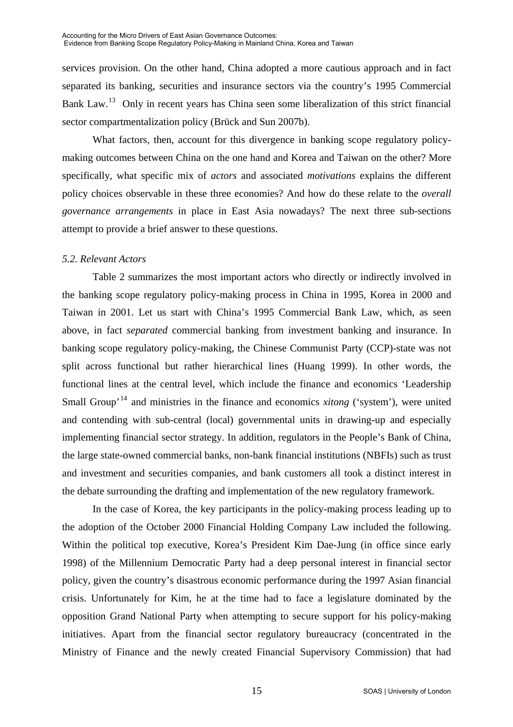services provision. On the other hand, China adopted a more cautious approach and in fact separated its banking, securities and insurance sectors via the country's 1995 Commercial Bank Law.<sup>[13](#page-26-0)</sup> Only in recent years has China seen some liberalization of this strict financial sector compartmentalization policy (Brück and Sun 2007b).

What factors, then, account for this divergence in banking scope regulatory policymaking outcomes between China on the one hand and Korea and Taiwan on the other? More specifically, what specific mix of *actors* and associated *motivations* explains the different policy choices observable in these three economies? And how do these relate to the *overall governance arrangements* in place in East Asia nowadays? The next three sub-sections attempt to provide a brief answer to these questions.

## *5.2. Relevant Actors*

Table 2 summarizes the most important actors who directly or indirectly involved in the banking scope regulatory policy-making process in China in 1995, Korea in 2000 and Taiwan in 2001. Let us start with China's 1995 Commercial Bank Law, which, as seen above, in fact *separated* commercial banking from investment banking and insurance. In banking scope regulatory policy-making, the Chinese Communist Party (CCP)-state was not split across functional but rather hierarchical lines (Huang 1999). In other words, the functional lines at the central level, which include the finance and economics 'Leadership Small Group<sup>, [14](#page-26-0)</sup> and ministries in the finance and economics *xitong* ('system'), were united and contending with sub-central (local) governmental units in drawing-up and especially implementing financial sector strategy. In addition, regulators in the People's Bank of China, the large state-owned commercial banks, non-bank financial institutions (NBFIs) such as trust and investment and securities companies, and bank customers all took a distinct interest in the debate surrounding the drafting and implementation of the new regulatory framework.

In the case of Korea, the key participants in the policy-making process leading up to the adoption of the October 2000 Financial Holding Company Law included the following. Within the political top executive, Korea's President Kim Dae-Jung (in office since early 1998) of the Millennium Democratic Party had a deep personal interest in financial sector policy, given the country's disastrous economic performance during the 1997 Asian financial crisis. Unfortunately for Kim, he at the time had to face a legislature dominated by the opposition Grand National Party when attempting to secure support for his policy-making initiatives. Apart from the financial sector regulatory bureaucracy (concentrated in the Ministry of Finance and the newly created Financial Supervisory Commission) that had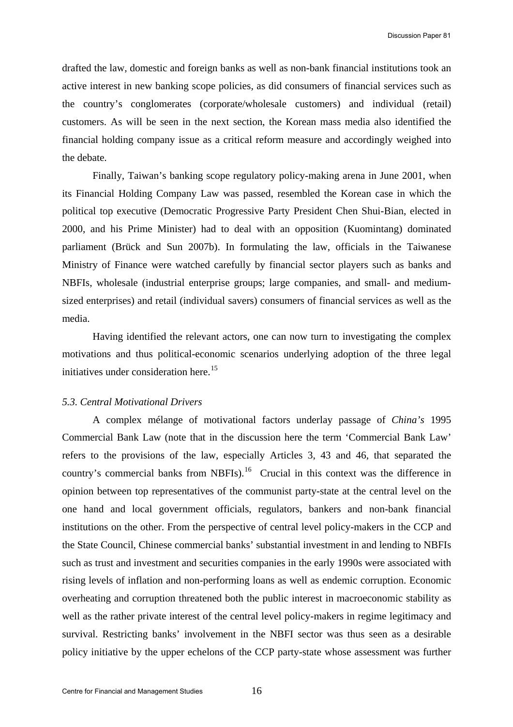drafted the law, domestic and foreign banks as well as non-bank financial institutions took an active interest in new banking scope policies, as did consumers of financial services such as the country's conglomerates (corporate/wholesale customers) and individual (retail) customers. As will be seen in the next section, the Korean mass media also identified the financial holding company issue as a critical reform measure and accordingly weighed into the debate.

Finally, Taiwan's banking scope regulatory policy-making arena in June 2001, when its Financial Holding Company Law was passed, resembled the Korean case in which the political top executive (Democratic Progressive Party President Chen Shui-Bian, elected in 2000, and his Prime Minister) had to deal with an opposition (Kuomintang) dominated parliament (Brück and Sun 2007b). In formulating the law, officials in the Taiwanese Ministry of Finance were watched carefully by financial sector players such as banks and NBFIs, wholesale (industrial enterprise groups; large companies, and small- and mediumsized enterprises) and retail (individual savers) consumers of financial services as well as the media.

Having identified the relevant actors, one can now turn to investigating the complex motivations and thus political-economic scenarios underlying adoption of the three legal initiatives under consideration here.<sup>[15](#page-26-0)</sup>

#### *5.3. Central Motivational Drivers*

A complex mélange of motivational factors underlay passage of *China's* 1995 Commercial Bank Law (note that in the discussion here the term 'Commercial Bank Law' refers to the provisions of the law, especially Articles 3, 43 and 46, that separated the country's commercial banks from NBFIs).<sup>[16](#page-26-0)</sup> Crucial in this context was the difference in opinion between top representatives of the communist party-state at the central level on the one hand and local government officials, regulators, bankers and non-bank financial institutions on the other. From the perspective of central level policy-makers in the CCP and the State Council, Chinese commercial banks' substantial investment in and lending to NBFIs such as trust and investment and securities companies in the early 1990s were associated with rising levels of inflation and non-performing loans as well as endemic corruption. Economic overheating and corruption threatened both the public interest in macroeconomic stability as well as the rather private interest of the central level policy-makers in regime legitimacy and survival. Restricting banks' involvement in the NBFI sector was thus seen as a desirable policy initiative by the upper echelons of the CCP party-state whose assessment was further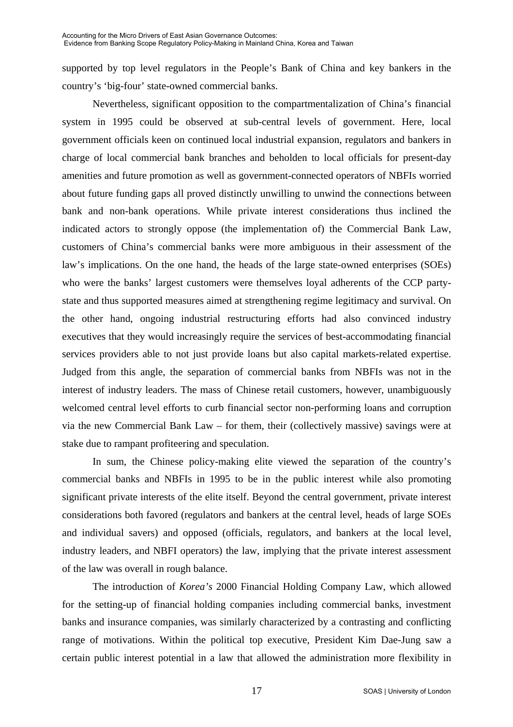supported by top level regulators in the People's Bank of China and key bankers in the country's 'big-four' state-owned commercial banks.

 Nevertheless, significant opposition to the compartmentalization of China's financial system in 1995 could be observed at sub-central levels of government. Here, local government officials keen on continued local industrial expansion, regulators and bankers in charge of local commercial bank branches and beholden to local officials for present-day amenities and future promotion as well as government-connected operators of NBFIs worried about future funding gaps all proved distinctly unwilling to unwind the connections between bank and non-bank operations. While private interest considerations thus inclined the indicated actors to strongly oppose (the implementation of) the Commercial Bank Law, customers of China's commercial banks were more ambiguous in their assessment of the law's implications. On the one hand, the heads of the large state-owned enterprises (SOEs) who were the banks' largest customers were themselves loyal adherents of the CCP partystate and thus supported measures aimed at strengthening regime legitimacy and survival. On the other hand, ongoing industrial restructuring efforts had also convinced industry executives that they would increasingly require the services of best-accommodating financial services providers able to not just provide loans but also capital markets-related expertise. Judged from this angle, the separation of commercial banks from NBFIs was not in the interest of industry leaders. The mass of Chinese retail customers, however, unambiguously welcomed central level efforts to curb financial sector non-performing loans and corruption via the new Commercial Bank Law – for them, their (collectively massive) savings were at stake due to rampant profiteering and speculation.

 In sum, the Chinese policy-making elite viewed the separation of the country's commercial banks and NBFIs in 1995 to be in the public interest while also promoting significant private interests of the elite itself. Beyond the central government, private interest considerations both favored (regulators and bankers at the central level, heads of large SOEs and individual savers) and opposed (officials, regulators, and bankers at the local level, industry leaders, and NBFI operators) the law, implying that the private interest assessment of the law was overall in rough balance.

 The introduction of *Korea's* 2000 Financial Holding Company Law, which allowed for the setting-up of financial holding companies including commercial banks, investment banks and insurance companies, was similarly characterized by a contrasting and conflicting range of motivations. Within the political top executive, President Kim Dae-Jung saw a certain public interest potential in a law that allowed the administration more flexibility in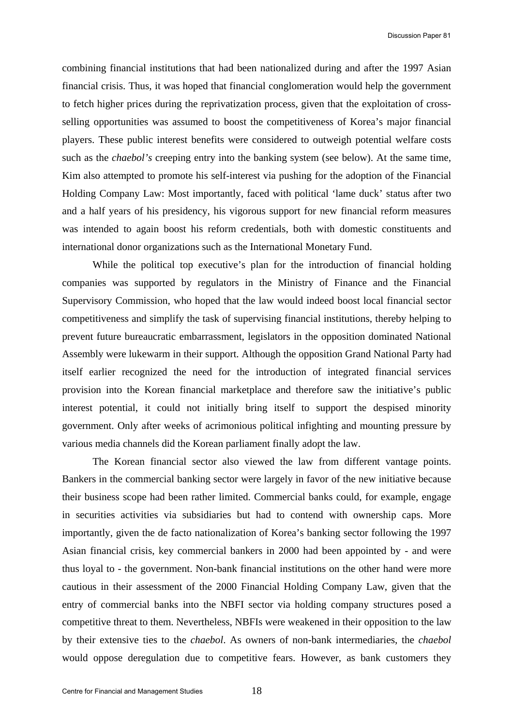combining financial institutions that had been nationalized during and after the 1997 Asian financial crisis. Thus, it was hoped that financial conglomeration would help the government to fetch higher prices during the reprivatization process, given that the exploitation of crossselling opportunities was assumed to boost the competitiveness of Korea's major financial players. These public interest benefits were considered to outweigh potential welfare costs such as the *chaebol's* creeping entry into the banking system (see below). At the same time, Kim also attempted to promote his self-interest via pushing for the adoption of the Financial Holding Company Law: Most importantly, faced with political 'lame duck' status after two and a half years of his presidency, his vigorous support for new financial reform measures was intended to again boost his reform credentials, both with domestic constituents and international donor organizations such as the International Monetary Fund.

While the political top executive's plan for the introduction of financial holding companies was supported by regulators in the Ministry of Finance and the Financial Supervisory Commission, who hoped that the law would indeed boost local financial sector competitiveness and simplify the task of supervising financial institutions, thereby helping to prevent future bureaucratic embarrassment, legislators in the opposition dominated National Assembly were lukewarm in their support. Although the opposition Grand National Party had itself earlier recognized the need for the introduction of integrated financial services provision into the Korean financial marketplace and therefore saw the initiative's public interest potential, it could not initially bring itself to support the despised minority government. Only after weeks of acrimonious political infighting and mounting pressure by various media channels did the Korean parliament finally adopt the law.

 The Korean financial sector also viewed the law from different vantage points. Bankers in the commercial banking sector were largely in favor of the new initiative because their business scope had been rather limited. Commercial banks could, for example, engage in securities activities via subsidiaries but had to contend with ownership caps. More importantly, given the de facto nationalization of Korea's banking sector following the 1997 Asian financial crisis, key commercial bankers in 2000 had been appointed by - and were thus loyal to - the government. Non-bank financial institutions on the other hand were more cautious in their assessment of the 2000 Financial Holding Company Law, given that the entry of commercial banks into the NBFI sector via holding company structures posed a competitive threat to them. Nevertheless, NBFIs were weakened in their opposition to the law by their extensive ties to the *chaebol*. As owners of non-bank intermediaries, the *chaebol* would oppose deregulation due to competitive fears. However, as bank customers they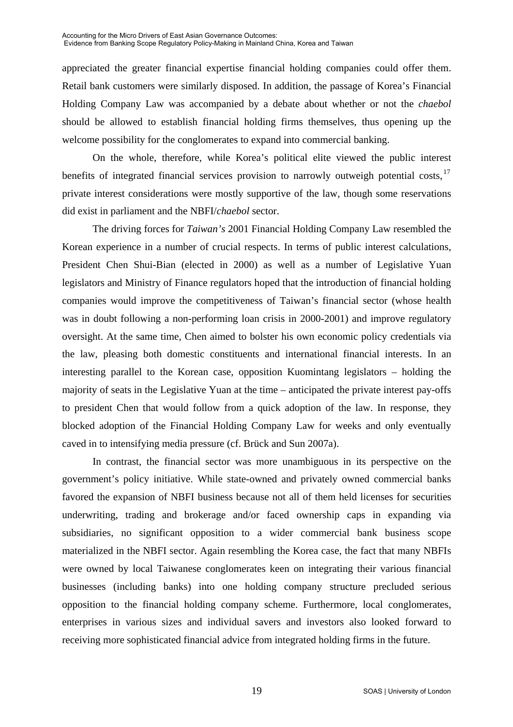appreciated the greater financial expertise financial holding companies could offer them. Retail bank customers were similarly disposed. In addition, the passage of Korea's Financial Holding Company Law was accompanied by a debate about whether or not the *chaebol* should be allowed to establish financial holding firms themselves, thus opening up the welcome possibility for the conglomerates to expand into commercial banking.

 On the whole, therefore, while Korea's political elite viewed the public interest benefits of integrated financial services provision to narrowly outweigh potential costs.<sup>[17](#page-26-0)</sup> private interest considerations were mostly supportive of the law, though some reservations did exist in parliament and the NBFI/*chaebol* sector.

 The driving forces for *Taiwan's* 2001 Financial Holding Company Law resembled the Korean experience in a number of crucial respects. In terms of public interest calculations, President Chen Shui-Bian (elected in 2000) as well as a number of Legislative Yuan legislators and Ministry of Finance regulators hoped that the introduction of financial holding companies would improve the competitiveness of Taiwan's financial sector (whose health was in doubt following a non-performing loan crisis in 2000-2001) and improve regulatory oversight. At the same time, Chen aimed to bolster his own economic policy credentials via the law, pleasing both domestic constituents and international financial interests. In an interesting parallel to the Korean case, opposition Kuomintang legislators – holding the majority of seats in the Legislative Yuan at the time – anticipated the private interest pay-offs to president Chen that would follow from a quick adoption of the law. In response, they blocked adoption of the Financial Holding Company Law for weeks and only eventually caved in to intensifying media pressure (cf. Brück and Sun 2007a).

 In contrast, the financial sector was more unambiguous in its perspective on the government's policy initiative. While state-owned and privately owned commercial banks favored the expansion of NBFI business because not all of them held licenses for securities underwriting, trading and brokerage and/or faced ownership caps in expanding via subsidiaries, no significant opposition to a wider commercial bank business scope materialized in the NBFI sector. Again resembling the Korea case, the fact that many NBFIs were owned by local Taiwanese conglomerates keen on integrating their various financial businesses (including banks) into one holding company structure precluded serious opposition to the financial holding company scheme. Furthermore, local conglomerates, enterprises in various sizes and individual savers and investors also looked forward to receiving more sophisticated financial advice from integrated holding firms in the future.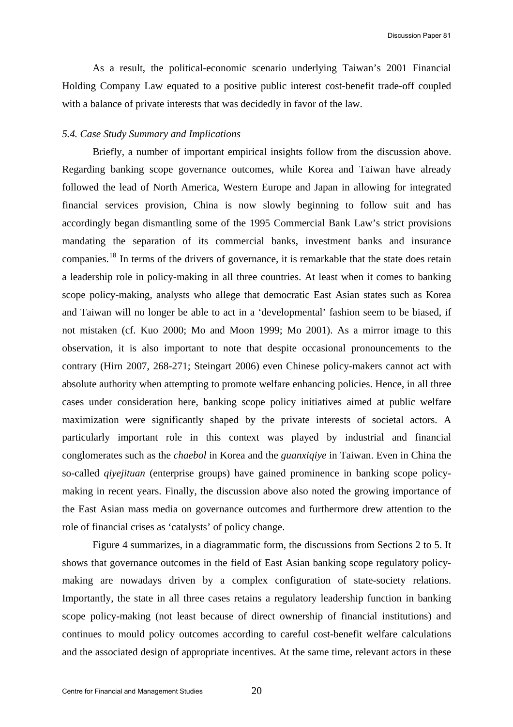As a result, the political-economic scenario underlying Taiwan's 2001 Financial Holding Company Law equated to a positive public interest cost-benefit trade-off coupled with a balance of private interests that was decidedly in favor of the law.

#### *5.4. Case Study Summary and Implications*

Briefly, a number of important empirical insights follow from the discussion above. Regarding banking scope governance outcomes, while Korea and Taiwan have already followed the lead of North America, Western Europe and Japan in allowing for integrated financial services provision, China is now slowly beginning to follow suit and has accordingly began dismantling some of the 1995 Commercial Bank Law's strict provisions mandating the separation of its commercial banks, investment banks and insurance companies.[18](#page-26-0) In terms of the drivers of governance, it is remarkable that the state does retain a leadership role in policy-making in all three countries. At least when it comes to banking scope policy-making, analysts who allege that democratic East Asian states such as Korea and Taiwan will no longer be able to act in a 'developmental' fashion seem to be biased, if not mistaken (cf. Kuo 2000; Mo and Moon 1999; Mo 2001). As a mirror image to this observation, it is also important to note that despite occasional pronouncements to the contrary (Hirn 2007, 268-271; Steingart 2006) even Chinese policy-makers cannot act with absolute authority when attempting to promote welfare enhancing policies. Hence, in all three cases under consideration here, banking scope policy initiatives aimed at public welfare maximization were significantly shaped by the private interests of societal actors. A particularly important role in this context was played by industrial and financial conglomerates such as the *chaebol* in Korea and the *guanxiqiye* in Taiwan. Even in China the so-called *qiyejituan* (enterprise groups) have gained prominence in banking scope policymaking in recent years. Finally, the discussion above also noted the growing importance of the East Asian mass media on governance outcomes and furthermore drew attention to the role of financial crises as 'catalysts' of policy change.

Figure 4 summarizes, in a diagrammatic form, the discussions from Sections 2 to 5. It shows that governance outcomes in the field of East Asian banking scope regulatory policymaking are nowadays driven by a complex configuration of state-society relations. Importantly, the state in all three cases retains a regulatory leadership function in banking scope policy-making (not least because of direct ownership of financial institutions) and continues to mould policy outcomes according to careful cost-benefit welfare calculations and the associated design of appropriate incentives. At the same time, relevant actors in these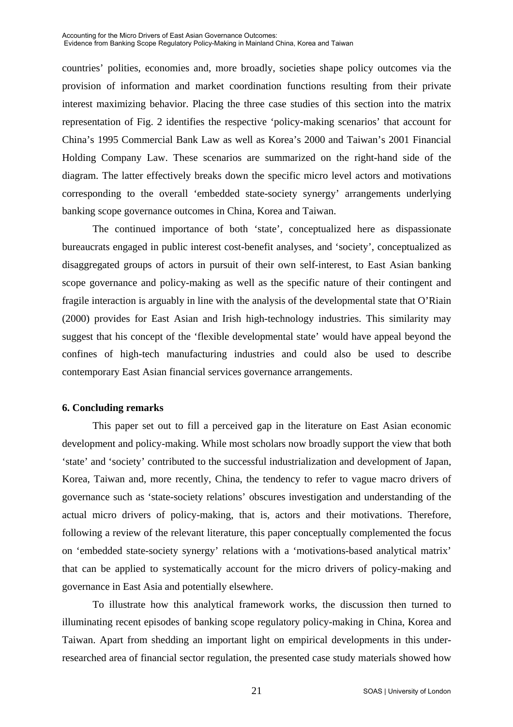countries' polities, economies and, more broadly, societies shape policy outcomes via the provision of information and market coordination functions resulting from their private interest maximizing behavior. Placing the three case studies of this section into the matrix representation of Fig. 2 identifies the respective 'policy-making scenarios' that account for China's 1995 Commercial Bank Law as well as Korea's 2000 and Taiwan's 2001 Financial Holding Company Law. These scenarios are summarized on the right-hand side of the diagram. The latter effectively breaks down the specific micro level actors and motivations corresponding to the overall 'embedded state-society synergy' arrangements underlying banking scope governance outcomes in China, Korea and Taiwan.

The continued importance of both 'state', conceptualized here as dispassionate bureaucrats engaged in public interest cost-benefit analyses, and 'society', conceptualized as disaggregated groups of actors in pursuit of their own self-interest, to East Asian banking scope governance and policy-making as well as the specific nature of their contingent and fragile interaction is arguably in line with the analysis of the developmental state that O'Riain (2000) provides for East Asian and Irish high-technology industries. This similarity may suggest that his concept of the 'flexible developmental state' would have appeal beyond the confines of high-tech manufacturing industries and could also be used to describe contemporary East Asian financial services governance arrangements.

### **6. Concluding remarks**

This paper set out to fill a perceived gap in the literature on East Asian economic development and policy-making. While most scholars now broadly support the view that both 'state' and 'society' contributed to the successful industrialization and development of Japan, Korea, Taiwan and, more recently, China, the tendency to refer to vague macro drivers of governance such as 'state-society relations' obscures investigation and understanding of the actual micro drivers of policy-making, that is, actors and their motivations. Therefore, following a review of the relevant literature, this paper conceptually complemented the focus on 'embedded state-society synergy' relations with a 'motivations-based analytical matrix' that can be applied to systematically account for the micro drivers of policy-making and governance in East Asia and potentially elsewhere.

To illustrate how this analytical framework works, the discussion then turned to illuminating recent episodes of banking scope regulatory policy-making in China, Korea and Taiwan. Apart from shedding an important light on empirical developments in this underresearched area of financial sector regulation, the presented case study materials showed how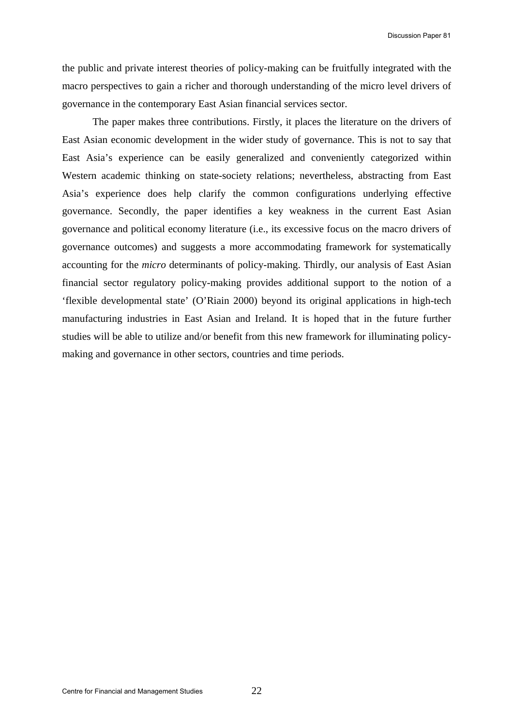the public and private interest theories of policy-making can be fruitfully integrated with the macro perspectives to gain a richer and thorough understanding of the micro level drivers of governance in the contemporary East Asian financial services sector.

The paper makes three contributions. Firstly, it places the literature on the drivers of East Asian economic development in the wider study of governance. This is not to say that East Asia's experience can be easily generalized and conveniently categorized within Western academic thinking on state-society relations; nevertheless, abstracting from East Asia's experience does help clarify the common configurations underlying effective governance. Secondly, the paper identifies a key weakness in the current East Asian governance and political economy literature (i.e., its excessive focus on the macro drivers of governance outcomes) and suggests a more accommodating framework for systematically accounting for the *micro* determinants of policy-making. Thirdly, our analysis of East Asian financial sector regulatory policy-making provides additional support to the notion of a 'flexible developmental state' (O'Riain 2000) beyond its original applications in high-tech manufacturing industries in East Asian and Ireland. It is hoped that in the future further studies will be able to utilize and/or benefit from this new framework for illuminating policymaking and governance in other sectors, countries and time periods.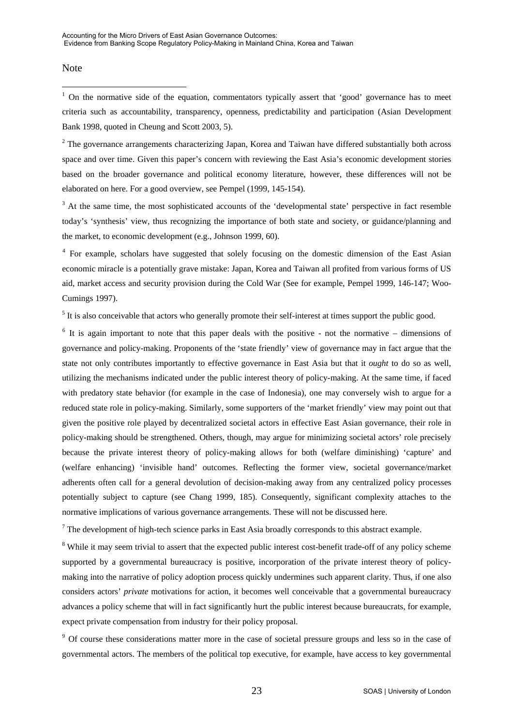#### Note

 $\overline{a}$ 

 $1$  On the normative side of the equation, commentators typically assert that 'good' governance has to meet criteria such as accountability, transparency, openness, predictability and participation (Asian Development Bank 1998, quoted in Cheung and Scott 2003, 5).

 $2$  The governance arrangements characterizing Japan, Korea and Taiwan have differed substantially both across space and over time. Given this paper's concern with reviewing the East Asia's economic development stories based on the broader governance and political economy literature, however, these differences will not be elaborated on here. For a good overview, see Pempel (1999, 145-154).

<sup>3</sup> At the same time, the most sophisticated accounts of the 'developmental state' perspective in fact resemble today's 'synthesis' view, thus recognizing the importance of both state and society, or guidance/planning and the market, to economic development (e.g., Johnson 1999, 60).

<sup>4</sup> For example, scholars have suggested that solely focusing on the domestic dimension of the East Asian economic miracle is a potentially grave mistake: Japan, Korea and Taiwan all profited from various forms of US aid, market access and security provision during the Cold War (See for example, Pempel 1999, 146-147; Woo-Cumings 1997).

 $<sup>5</sup>$  It is also conceivable that actors who generally promote their self-interest at times support the public good.</sup>

 $6$  It is again important to note that this paper deals with the positive - not the normative – dimensions of governance and policy-making. Proponents of the 'state friendly' view of governance may in fact argue that the state not only contributes importantly to effective governance in East Asia but that it *ought* to do so as well, utilizing the mechanisms indicated under the public interest theory of policy-making. At the same time, if faced with predatory state behavior (for example in the case of Indonesia), one may conversely wish to argue for a reduced state role in policy-making. Similarly, some supporters of the 'market friendly' view may point out that given the positive role played by decentralized societal actors in effective East Asian governance, their role in policy-making should be strengthened. Others, though, may argue for minimizing societal actors' role precisely because the private interest theory of policy-making allows for both (welfare diminishing) 'capture' and (welfare enhancing) 'invisible hand' outcomes. Reflecting the former view, societal governance/market adherents often call for a general devolution of decision-making away from any centralized policy processes potentially subject to capture (see Chang 1999, 185). Consequently, significant complexity attaches to the normative implications of various governance arrangements. These will not be discussed here.

 $7$  The development of high-tech science parks in East Asia broadly corresponds to this abstract example.

<sup>8</sup> While it may seem trivial to assert that the expected public interest cost-benefit trade-off of any policy scheme supported by a governmental bureaucracy is positive, incorporation of the private interest theory of policymaking into the narrative of policy adoption process quickly undermines such apparent clarity. Thus, if one also considers actors' *private* motivations for action, it becomes well conceivable that a governmental bureaucracy advances a policy scheme that will in fact significantly hurt the public interest because bureaucrats, for example, expect private compensation from industry for their policy proposal.

<sup>9</sup> Of course these considerations matter more in the case of societal pressure groups and less so in the case of governmental actors. The members of the political top executive, for example, have access to key governmental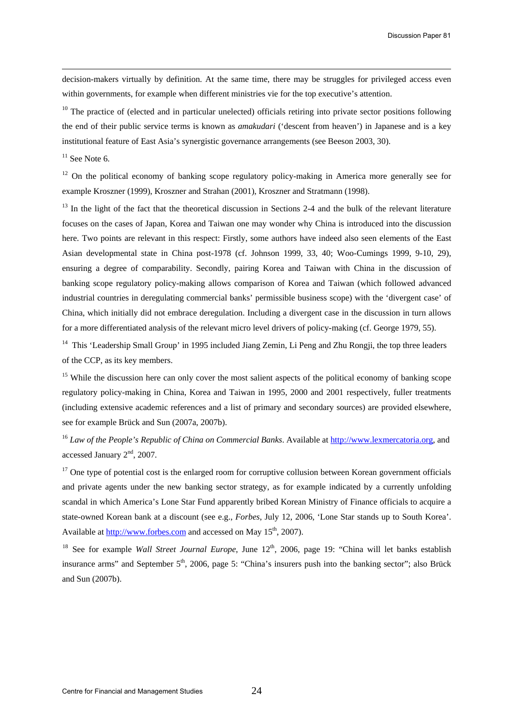decision-makers virtually by definition. At the same time, there may be struggles for privileged access even within governments, for example when different ministries vie for the top executive's attention.

 $10$  The practice of (elected and in particular unelected) officials retiring into private sector positions following the end of their public service terms is known as *amakudari* ('descent from heaven') in Japanese and is a key institutional feature of East Asia's synergistic governance arrangements (see Beeson 2003, 30).

 $11$  See Note 6.

 $12$  On the political economy of banking scope regulatory policy-making in America more generally see for example Kroszner (1999), Kroszner and Strahan (2001), Kroszner and Stratmann (1998).

 $13$  In the light of the fact that the theoretical discussion in Sections 2-4 and the bulk of the relevant literature focuses on the cases of Japan, Korea and Taiwan one may wonder why China is introduced into the discussion here. Two points are relevant in this respect: Firstly, some authors have indeed also seen elements of the East Asian developmental state in China post-1978 (cf. Johnson 1999, 33, 40; Woo-Cumings 1999, 9-10, 29), ensuring a degree of comparability. Secondly, pairing Korea and Taiwan with China in the discussion of banking scope regulatory policy-making allows comparison of Korea and Taiwan (which followed advanced industrial countries in deregulating commercial banks' permissible business scope) with the 'divergent case' of China, which initially did not embrace deregulation. Including a divergent case in the discussion in turn allows for a more differentiated analysis of the relevant micro level drivers of policy-making (cf. George 1979, 55).

<sup>14</sup> This 'Leadership Small Group' in 1995 included Jiang Zemin, Li Peng and Zhu Rongji, the top three leaders of the CCP, as its key members.

<sup>15</sup> While the discussion here can only cover the most salient aspects of the political economy of banking scope regulatory policy-making in China, Korea and Taiwan in 1995, 2000 and 2001 respectively, fuller treatments (including extensive academic references and a list of primary and secondary sources) are provided elsewhere, see for example Brück and Sun (2007a, 2007b).

<sup>16</sup> *Law of the People's Republic of China on Commercial Banks*. Available at [http://www.lexmercatoria.org](http://www.lexmercatoria.org/), and accessed January 2<sup>nd</sup>, 2007.

 $17$  One type of potential cost is the enlarged room for corruptive collusion between Korean government officials and private agents under the new banking sector strategy, as for example indicated by a currently unfolding scandal in which America's Lone Star Fund apparently bribed Korean Ministry of Finance officials to acquire a state-owned Korean bank at a discount (see e.g., *Forbes*, July 12, 2006, 'Lone Star stands up to South Korea'. Available at [http://www.forbes.com](http://www.forbes.com/) and accessed on May 15<sup>th</sup>, 2007).

<sup>18</sup> See for example *Wall Street Journal Europe*, June 12<sup>th</sup>, 2006, page 19: "China will let banks establish insurance arms" and September  $5<sup>th</sup>$ , 2006, page 5: "China's insurers push into the banking sector"; also Brück and Sun (2007b).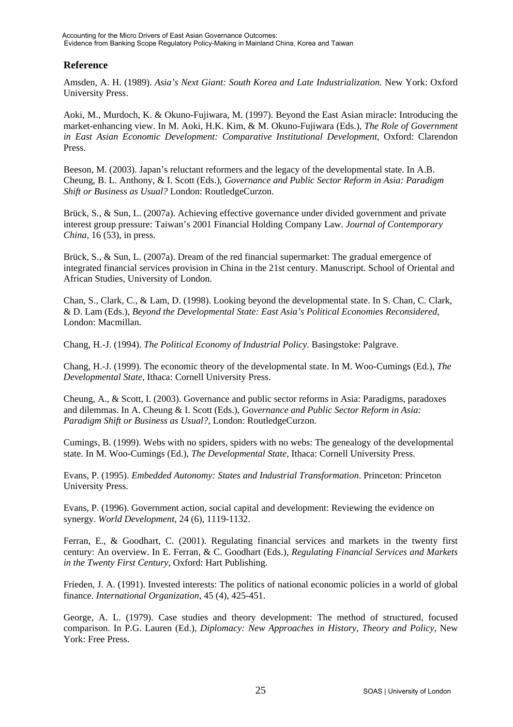## <span id="page-25-1"></span>**Reference**

Amsden, A. H. (1989). *Asia's Next Giant: South Korea and Late Industrialization*. New York: Oxford University Press.

Aoki, M., Murdoch, K. & Okuno-Fujiwara, M. (1997). Beyond the East Asian miracle: Introducing the market-enhancing view. In M. Aoki, H.K. Kim, & M. Okuno-Fujiwara (Eds.), *The Role of Government in East Asian Economic Development: Comparative Institutional Development*, Oxford: Clarendon Press.

Beeson, M. (2003). Japan's reluctant reformers and the legacy of the developmental state. In A.B. Cheung, B. L. Anthony, & I. Scott (Eds.), *Governance and Public Sector Reform in Asia: Paradigm Shift or Business as Usual?* London: RoutledgeCurzon.

Brück, S., & Sun, L. (2007a). Achieving effective governance under divided government and private interest group pressure: Taiwan's 2001 Financial Holding Company Law. *Journal of Contemporary China*, 16 (53), in press.

Brück, S., & Sun, L. (2007a). Dream of the red financial supermarket: The gradual emergence of integrated financial services provision in China in the 21st century. Manuscript. School of Oriental and African Studies, University of London.

<span id="page-25-0"></span>Chan, S., Clark, C., & Lam, D. (1998). Looking beyond the developmental state. In S. Chan, C. Clark, & D. Lam (Eds.), *Beyond the Developmental State: East Asia's Political Economies Reconsidered*, London: Macmillan.

Chang, H.-J. (1994). *The Political Economy of Industrial Policy*. Basingstoke: Palgrave.

Chang, H.-J. (1999). The economic theory of the developmental state. In M. Woo-Cumings (Ed.), *The Developmental State*, Ithaca: Cornell University Press.

Cheung, A., & Scott, I. (2003). Governance and public sector reforms in Asia: Paradigms, paradoxes and dilemmas. In A. Cheung & I. Scott (Eds.), Go*vernance and Public Sector Reform in Asia: Paradigm Shift or Business as Usual?*, London: RoutledgeCurzon.

Cumings, B. (1999). Webs with no spiders, spiders with no webs: The genealogy of the developmental state. In M. Woo-Cumings (Ed.), *The Developmental State*, Ithaca: Cornell University Press.

Evans, P. (1995). *Embedded Autonomy: States and Industrial Transformation*. Princeton: Princeton University Press.

Evans, P. (1996). Government action, social capital and development: Reviewing the evidence on synergy. *World Development*, 24 (6), 1119-1132.

Ferran, E., & Goodhart, C. (2001). Regulating financial services and markets in the twenty first century: An overview. In E. Ferran, & C. Goodhart (Eds.), *Regulating Financial Services and Markets in the Twenty First Century*, Oxford: Hart Publishing.

Frieden, J. A. (1991). Invested interests: The politics of national economic policies in a world of global finance. *International Organization*, 45 (4), 425-451.

George, A. L. (1979). Case studies and theory development: The method of structured, focused comparison. In P.G. Lauren (Ed.), *Diplomacy: New Approaches in History, Theory and Policy*, New York: Free Press.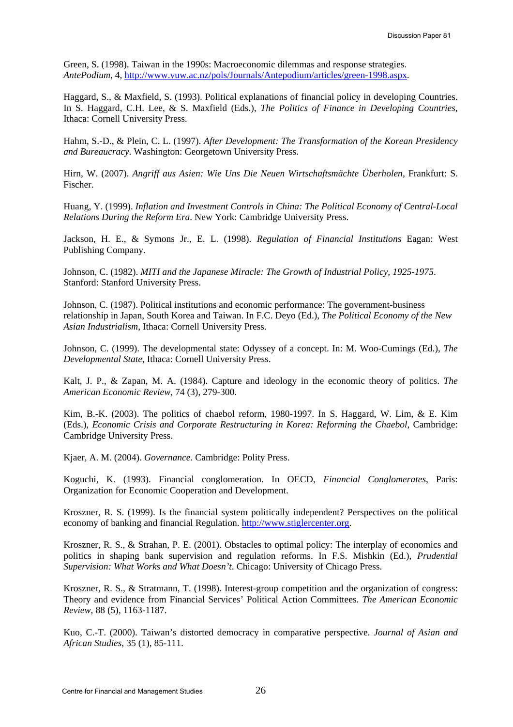<span id="page-26-0"></span>Green, S. (1998). Taiwan in the 1990s: Macroeconomic dilemmas and response strategies. *AntePodium*, 4, http://www.vuw.ac.nz/pols/Journals/Antepodium/articles/green-1998.aspx.

Haggard, S., & Maxfield, S. (1993). Political explanations of financial policy in developing Countries. In S. Haggard, C.H. Lee, & S. Maxfield (Eds.), *The Politics of Finance in Developing Countries*, Ithaca: Cornell University Press.

Hahm, S.-D., & Plein, C. L. (1997). *After Development: The Transformation of the Korean Presidency and Bureaucracy*. Washington: Georgetown University Press.

Hirn, W. (2007). *Angriff aus Asien: Wie Uns Die Neuen Wirtschaftsmächte Überholen*, Frankfurt: S. Fischer.

Huang, Y. (1999). *Inflation and Investment Controls in China: The Political Economy of Central-Local Relations During the Reform Era*. New York: Cambridge University Press.

Jackson, H. E., & Symons Jr., E. L. (1998). *Regulation of Financial Institutions* Eagan: West Publishing Company.

Johnson, C. (1982). *MITI and the Japanese Miracle: The Growth of Industrial Policy, 1925-1975*. Stanford: Stanford University Press.

Johnson, C. (1987). Political institutions and economic performance: The government-business relationship in Japan, South Korea and Taiwan. In F.C. Deyo (Ed.), *The Political Economy of the New Asian Industrialism*, Ithaca: Cornell University Press.

Johnson, C. (1999). The developmental state: Odyssey of a concept. In: M. Woo-Cumings (Ed.), *The Developmental State*, Ithaca: Cornell University Press.

Kalt, J. P., & Zapan, M. A. (1984). Capture and ideology in the economic theory of politics. *The American Economic Review*, 74 (3), 279-300.

Kim, B.-K. (2003). The politics of chaebol reform, 1980-1997. In S. Haggard, W. Lim, & E. Kim (Eds.), *Economic Crisis and Corporate Restructuring in Korea: Reforming the Chaebol*, Cambridge: Cambridge University Press.

Kjaer, A. M. (2004). *Governance*. Cambridge: Polity Press.

Koguchi, K. (1993). Financial conglomeration. In OECD, *Financial Conglomerates*, Paris: Organization for Economic Cooperation and Development.

Kroszner, R. S. (1999). Is the financial system politically independent? Perspectives on the political economy of banking and financial Regulation. [http://www.stiglercenter.org](http://www.stiglercenter.org/).

Kroszner, R. S., & Strahan, P. E. (2001). Obstacles to optimal policy: The interplay of economics and politics in shaping bank supervision and regulation reforms. In F.S. Mishkin (Ed.), *Prudential Supervision: What Works and What Doesn't*. Chicago: University of Chicago Press.

Kroszner, R. S., & Stratmann, T. (1998). Interest-group competition and the organization of congress: Theory and evidence from Financial Services' Political Action Committees. *The American Economic Review*, 88 (5), 1163-1187.

Kuo, C.-T. (2000). Taiwan's distorted democracy in comparative perspective. *Journal of Asian and African Studies*, 35 (1), 85-111.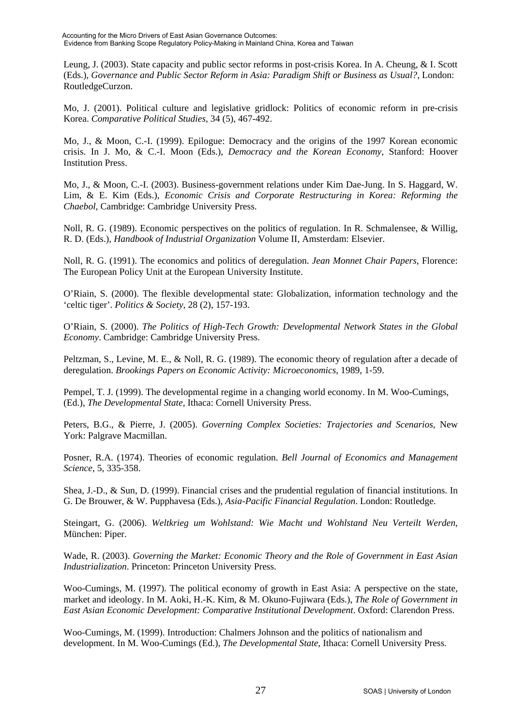Leung, J. (2003). State capacity and public sector reforms in post-crisis Korea. In A. Cheung, & I. Scott (Eds.), *Governance and Public Sector Reform in Asia: Paradigm Shift or Business as Usual?*, London: RoutledgeCurzon.

Mo, J. (2001). Political culture and legislative gridlock: Politics of economic reform in pre-crisis Korea. *Comparative Political Studies*, 34 (5), 467-492.

Mo, J., & Moon, C.-I. (1999). Epilogue: Democracy and the origins of the 1997 Korean economic crisis. In J. Mo, & C.-I. Moon (Eds.), *Democracy and the Korean Economy*, Stanford: Hoover Institution Press.

Mo, J., & Moon, C.-I. (2003). Business-government relations under Kim Dae-Jung. In S. Haggard, W. Lim, & E. Kim (Eds.), *Economic Crisis and Corporate Restructuring in Korea: Reforming the Chaebol*, Cambridge: Cambridge University Press.

Noll, R. G. (1989). Economic perspectives on the politics of regulation. In R. Schmalensee, & Willig, R. D. (Eds.), *Handbook of Industrial Organization* Volume II, Amsterdam: Elsevier.

Noll, R. G. (1991). The economics and politics of deregulation. *Jean Monnet Chair Papers*, Florence: The European Policy Unit at the European University Institute.

O'Riain, S. (2000). The flexible developmental state: Globalization, information technology and the 'celtic tiger'. *Politics & Society*, 28 (2), 157-193.

O'Riain, S. (2000). *The Politics of High-Tech Growth: Developmental Network States in the Global Economy*. Cambridge: Cambridge University Press.

Peltzman, S., Levine, M. E., & Noll, R. G. (1989). The economic theory of regulation after a decade of deregulation. *Brookings Papers on Economic Activity: Microeconomics*, 1989, 1-59.

Pempel, T. J. (1999). The developmental regime in a changing world economy. In M. Woo-Cumings, (Ed.), *The Developmental State*, Ithaca: Cornell University Press.

Peters, B.G., & Pierre, J. (2005). *Governing Complex Societies: Trajectories and Scenarios*, New York: Palgrave Macmillan.

Posner, R.A. (1974). Theories of economic regulation. *Bell Journal of Economics and Management Science*, 5, 335-358.

Shea, J.-D., & Sun, D. (1999). Financial crises and the prudential regulation of financial institutions. In G. De Brouwer, & W. Pupphavesa (Eds.), *Asia-Pacific Financial Regulation*. London: Routledge.

Steingart, G. (2006). *Weltkrieg um Wohlstand: Wie Macht und Wohlstand Neu Verteilt Werden*, München: Piper.

Wade, R. (2003). *Governing the Market: Economic Theory and the Role of Government in East Asian Industrialization*. Princeton: Princeton University Press.

Woo-Cumings, M. (1997). The political economy of growth in East Asia: A perspective on the state, market and ideology. In M. Aoki, H.-K. Kim, & M. Okuno-Fujiwara (Eds.), *The Role of Government in East Asian Economic Development: Comparative Institutional Development*. Oxford: Clarendon Press.

Woo-Cumings, M. (1999). Introduction: Chalmers Johnson and the politics of nationalism and development. In M. Woo-Cumings (Ed.), *The Developmental State*, Ithaca: Cornell University Press.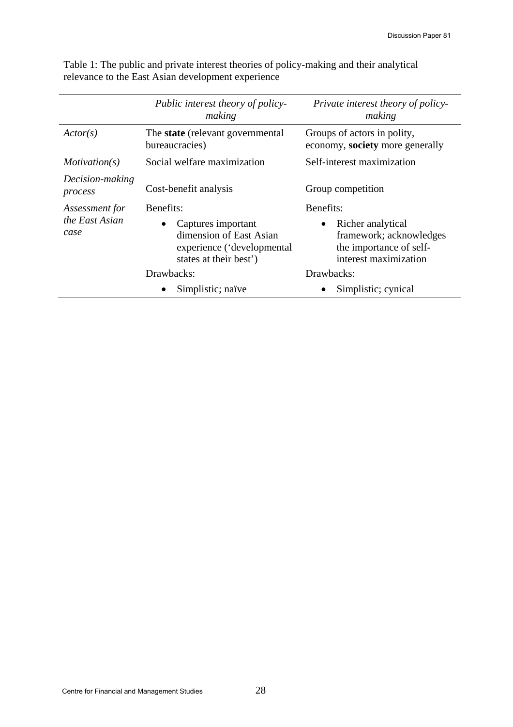|                            | Public interest theory of policy-<br>making                                                                        | Private interest theory of policy-<br>making                                                                  |  |
|----------------------------|--------------------------------------------------------------------------------------------------------------------|---------------------------------------------------------------------------------------------------------------|--|
| Actor(s)                   | The <b>state</b> (relevant governmental)<br>bureaucracies)                                                         | Groups of actors in polity,<br>economy, society more generally                                                |  |
| Motivation(s)              | Social welfare maximization                                                                                        | Self-interest maximization                                                                                    |  |
| Decision-making<br>process | Cost-benefit analysis                                                                                              | Group competition                                                                                             |  |
| Assessment for             | Benefits:                                                                                                          | Benefits:                                                                                                     |  |
| the East Asian<br>case     | Captures important<br>$\bullet$<br>dimension of East Asian<br>experience ('developmental<br>states at their best') | Richer analytical<br>$\bullet$<br>framework; acknowledges<br>the importance of self-<br>interest maximization |  |
|                            | Drawbacks:                                                                                                         | Drawbacks:                                                                                                    |  |
|                            | Simplistic; naïve                                                                                                  | Simplistic; cynical                                                                                           |  |

Table 1: The public and private interest theories of policy-making and their analytical relevance to the East Asian development experience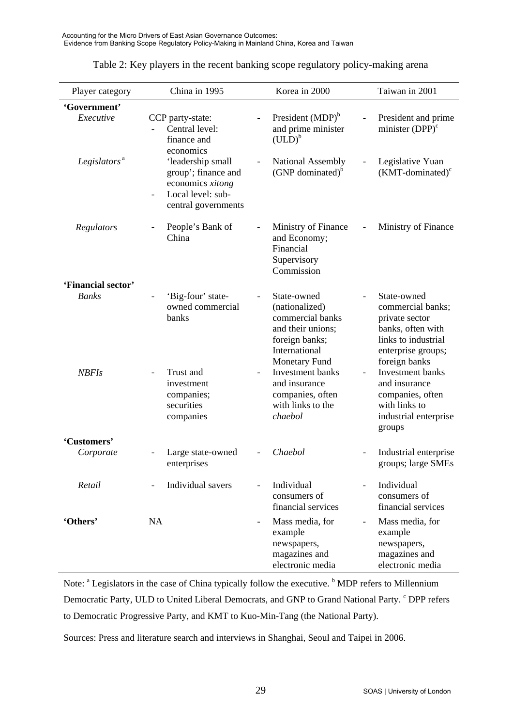| Player category           | China in 1995                                                                                                         |                          | Korea in 2000                                                                                                                     | Taiwan in 2001                                                                                                                        |
|---------------------------|-----------------------------------------------------------------------------------------------------------------------|--------------------------|-----------------------------------------------------------------------------------------------------------------------------------|---------------------------------------------------------------------------------------------------------------------------------------|
| 'Government'<br>Executive | CCP party-state:<br>Central level:<br>finance and                                                                     |                          | President (MDP) <sup>b</sup><br>and prime minister<br>$(ULD)^b$                                                                   | President and prime<br>minister $(DPP)^c$                                                                                             |
| Legislators <sup>a</sup>  | economics<br>'leadership small<br>group'; finance and<br>economics xitong<br>Local level: sub-<br>central governments |                          | National Assembly<br>$(GNP$ dominated) <sup>b</sup>                                                                               | Legislative Yuan<br>$(KMT\text{-dominated})^c$                                                                                        |
| Regulators                | People's Bank of<br>China                                                                                             |                          | Ministry of Finance<br>and Economy;<br>Financial<br>Supervisory<br>Commission                                                     | Ministry of Finance                                                                                                                   |
| 'Financial sector'        |                                                                                                                       |                          |                                                                                                                                   |                                                                                                                                       |
| <b>Banks</b>              | 'Big-four' state-<br>owned commercial<br>banks                                                                        |                          | State-owned<br>(nationalized)<br>commercial banks<br>and their unions;<br>foreign banks;<br>International<br><b>Monetary Fund</b> | State-owned<br>commercial banks;<br>private sector<br>banks, often with<br>links to industrial<br>enterprise groups;<br>foreign banks |
| <b>NBFIs</b>              | Trust and<br>investment<br>companies;<br>securities<br>companies                                                      | $\overline{\phantom{a}}$ | Investment banks<br>and insurance<br>companies, often<br>with links to the<br>chaebol                                             | Investment banks<br>and insurance<br>companies, often<br>with links to<br>industrial enterprise<br>groups                             |
| 'Customers'<br>Corporate  | Large state-owned<br>enterprises                                                                                      |                          | Chaebol                                                                                                                           | Industrial enterprise<br>groups; large SMEs                                                                                           |
| Retail                    | Individual savers                                                                                                     |                          | Individual<br>consumers of<br>financial services                                                                                  | Individual<br>consumers of<br>financial services                                                                                      |
| 'Others'                  | <b>NA</b>                                                                                                             |                          | Mass media, for<br>example<br>newspapers,<br>magazines and<br>electronic media                                                    | Mass media, for<br>example<br>newspapers,<br>magazines and<br>electronic media                                                        |

| Table 2: Key players in the recent banking scope regulatory policy-making arena |  |
|---------------------------------------------------------------------------------|--|
|                                                                                 |  |
|                                                                                 |  |

Note: <sup>a</sup> Legislators in the case of China typically follow the executive. <sup>b</sup> MDP refers to Millennium Democratic Party, ULD to United Liberal Democrats, and GNP to Grand National Party. C DPP refers to Democratic Progressive Party, and KMT to Kuo-Min-Tang (the National Party).

Sources: Press and literature search and interviews in Shanghai, Seoul and Taipei in 2006.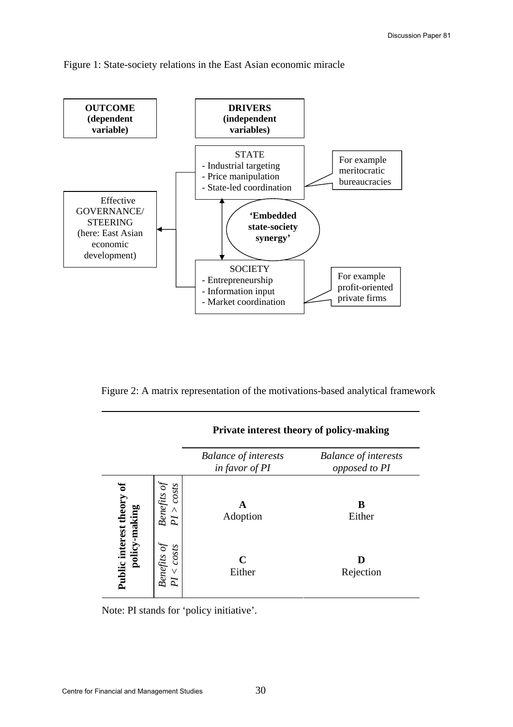



Figure 2: A matrix representation of the motivations-based analytical framework

|                                         |                                      | <b>Balance of interests</b><br>in favor of PI | <b>Balance of interests</b><br>opposed to PI |
|-----------------------------------------|--------------------------------------|-----------------------------------------------|----------------------------------------------|
|                                         | costs<br>Benefits oj<br>Λ<br>N       | Adoption                                      | B<br>Either                                  |
| Public interest theory<br>policy-making | Benefits of<br>costS<br>$\vee$<br>PI | C<br>Either                                   | Rejection                                    |

**Private interest theory of policy-making** 

Note: PI stands for 'policy initiative'.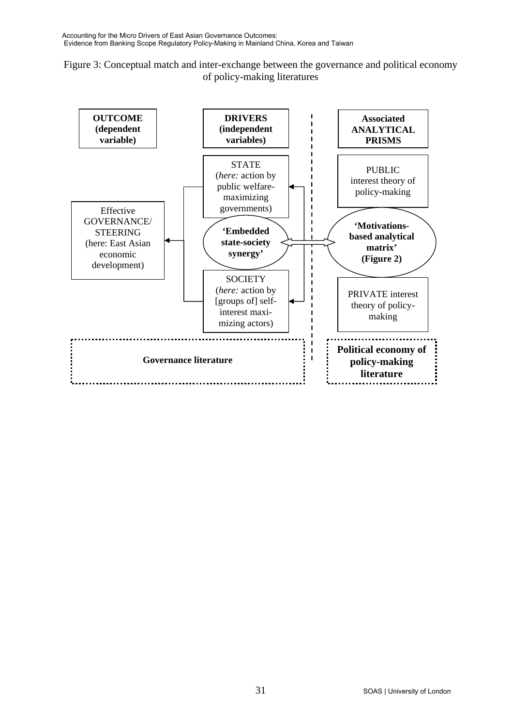